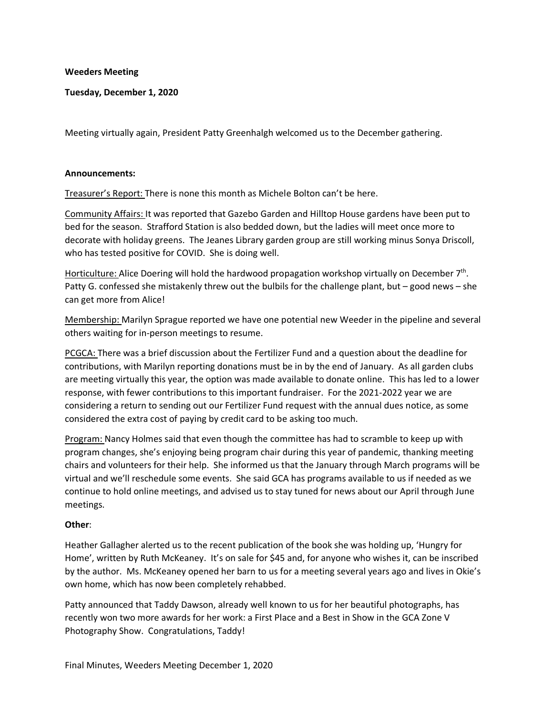#### **Weeders Meeting**

**Tuesday, December 1, 2020**

Meeting virtually again, President Patty Greenhalgh welcomed us to the December gathering.

#### **Announcements:**

Treasurer's Report: There is none this month as Michele Bolton can't be here.

Community Affairs: It was reported that Gazebo Garden and Hilltop House gardens have been put to bed for the season. Strafford Station is also bedded down, but the ladies will meet once more to decorate with holiday greens. The Jeanes Library garden group are still working minus Sonya Driscoll, who has tested positive for COVID. She is doing well.

Horticulture: Alice Doering will hold the hardwood propagation workshop virtually on December 7<sup>th</sup>. Patty G. confessed she mistakenly threw out the bulbils for the challenge plant, but – good news – she can get more from Alice!

Membership: Marilyn Sprague reported we have one potential new Weeder in the pipeline and several others waiting for in-person meetings to resume.

PCGCA: There was a brief discussion about the Fertilizer Fund and a question about the deadline for contributions, with Marilyn reporting donations must be in by the end of January. As all garden clubs are meeting virtually this year, the option was made available to donate online. This has led to a lower response, with fewer contributions to this important fundraiser. For the 2021-2022 year we are considering a return to sending out our Fertilizer Fund request with the annual dues notice, as some considered the extra cost of paying by credit card to be asking too much.

Program: Nancy Holmes said that even though the committee has had to scramble to keep up with program changes, she's enjoying being program chair during this year of pandemic, thanking meeting chairs and volunteers for their help. She informed us that the January through March programs will be virtual and we'll reschedule some events. She said GCA has programs available to us if needed as we continue to hold online meetings, and advised us to stay tuned for news about our April through June meetings.

#### **Other**:

Heather Gallagher alerted us to the recent publication of the book she was holding up, 'Hungry for Home', written by Ruth McKeaney. It's on sale for \$45 and, for anyone who wishes it, can be inscribed by the author. Ms. McKeaney opened her barn to us for a meeting several years ago and lives in Okie's own home, which has now been completely rehabbed.

Patty announced that Taddy Dawson, already well known to us for her beautiful photographs, has recently won two more awards for her work: a First Place and a Best in Show in the GCA Zone V Photography Show. Congratulations, Taddy!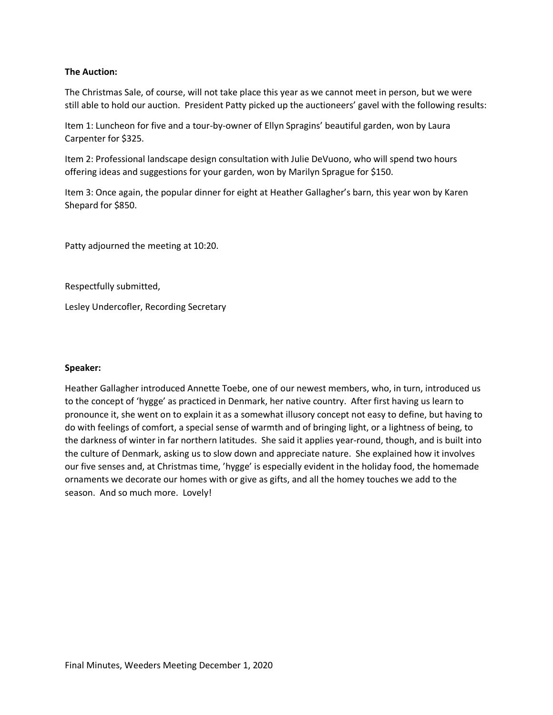### **The Auction:**

The Christmas Sale, of course, will not take place this year as we cannot meet in person, but we were still able to hold our auction. President Patty picked up the auctioneers' gavel with the following results:

Item 1: Luncheon for five and a tour-by-owner of Ellyn Spragins' beautiful garden, won by Laura Carpenter for \$325.

Item 2: Professional landscape design consultation with Julie DeVuono, who will spend two hours offering ideas and suggestions for your garden, won by Marilyn Sprague for \$150.

Item 3: Once again, the popular dinner for eight at Heather Gallagher's barn, this year won by Karen Shepard for \$850.

Patty adjourned the meeting at 10:20.

Respectfully submitted,

Lesley Undercofler, Recording Secretary

#### **Speaker:**

Heather Gallagher introduced Annette Toebe, one of our newest members, who, in turn, introduced us to the concept of 'hygge' as practiced in Denmark, her native country. After first having us learn to pronounce it, she went on to explain it as a somewhat illusory concept not easy to define, but having to do with feelings of comfort, a special sense of warmth and of bringing light, or a lightness of being, to the darkness of winter in far northern latitudes. She said it applies year-round, though, and is built into the culture of Denmark, asking us to slow down and appreciate nature. She explained how it involves our five senses and, at Christmas time, 'hygge' is especially evident in the holiday food, the homemade ornaments we decorate our homes with or give as gifts, and all the homey touches we add to the season. And so much more. Lovely!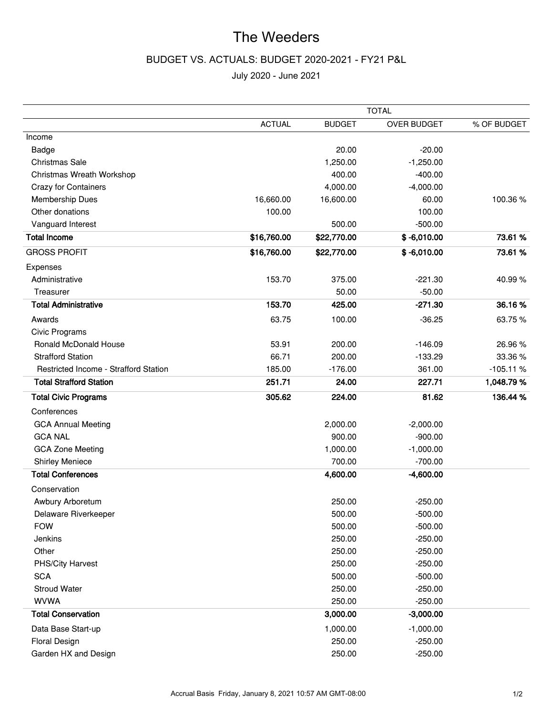# The Weeders

## BUDGET VS. ACTUALS: BUDGET 2020-2021 - FY21 P&L

July 2020 - June 2021

|                                              |               | <b>TOTAL</b>  |                    |             |  |  |
|----------------------------------------------|---------------|---------------|--------------------|-------------|--|--|
|                                              | <b>ACTUAL</b> | <b>BUDGET</b> | <b>OVER BUDGET</b> | % OF BUDGET |  |  |
| Income                                       |               |               |                    |             |  |  |
| Badge                                        |               | 20.00         | $-20.00$           |             |  |  |
| Christmas Sale                               |               | 1,250.00      | $-1,250.00$        |             |  |  |
| Christmas Wreath Workshop                    |               | 400.00        | $-400.00$          |             |  |  |
| <b>Crazy for Containers</b>                  |               | 4,000.00      | $-4,000.00$        |             |  |  |
| <b>Membership Dues</b>                       | 16,660.00     | 16,600.00     | 60.00              | 100.36%     |  |  |
| Other donations                              | 100.00        |               | 100.00             |             |  |  |
| Vanguard Interest                            |               | 500.00        | $-500.00$          |             |  |  |
| <b>Total Income</b>                          | \$16,760.00   | \$22,770.00   | $$ -6,010.00$      | 73.61 %     |  |  |
| <b>GROSS PROFIT</b>                          | \$16,760.00   | \$22,770.00   | $$ -6,010.00$      | 73.61 %     |  |  |
| Expenses                                     |               |               |                    |             |  |  |
| Administrative                               | 153.70        | 375.00        | $-221.30$          | 40.99%      |  |  |
| Treasurer                                    |               | 50.00         | $-50.00$           |             |  |  |
| <b>Total Administrative</b>                  | 153.70        | 425.00        | $-271.30$          | 36.16%      |  |  |
| Awards                                       | 63.75         | 100.00        | $-36.25$           | 63.75%      |  |  |
| Civic Programs                               |               |               |                    |             |  |  |
| <b>Ronald McDonald House</b>                 | 53.91         | 200.00        | $-146.09$          | 26.96%      |  |  |
| <b>Strafford Station</b>                     | 66.71         | 200.00        | $-133.29$          | 33.36%      |  |  |
| <b>Restricted Income - Strafford Station</b> | 185.00        | $-176.00$     | 361.00             | $-105.11%$  |  |  |
| <b>Total Strafford Station</b>               | 251.71        | 24.00         | 227.71             | 1,048.79%   |  |  |
| <b>Total Civic Programs</b>                  | 305.62        | 224.00        | 81.62              | 136.44 %    |  |  |
| Conferences                                  |               |               |                    |             |  |  |
| <b>GCA Annual Meeting</b>                    |               | 2,000.00      | $-2,000.00$        |             |  |  |
| <b>GCA NAL</b>                               |               | 900.00        | $-900.00$          |             |  |  |
| <b>GCA Zone Meeting</b>                      |               | 1,000.00      | $-1,000.00$        |             |  |  |
| <b>Shirley Meniece</b>                       |               | 700.00        | $-700.00$          |             |  |  |
| <b>Total Conferences</b>                     |               | 4,600.00      | $-4,600.00$        |             |  |  |
| Conservation                                 |               |               |                    |             |  |  |
| Awbury Arboretum                             |               | 250.00        | $-250.00$          |             |  |  |
| Delaware Riverkeeper                         |               | 500.00        | $-500.00$          |             |  |  |
| <b>FOW</b>                                   |               | 500.00        | $-500.00$          |             |  |  |
| Jenkins                                      |               | 250.00        | $-250.00$          |             |  |  |
| Other                                        |               | 250.00        | $-250.00$          |             |  |  |
| PHS/City Harvest                             |               | 250.00        | $-250.00$          |             |  |  |
| <b>SCA</b>                                   |               | 500.00        | $-500.00$          |             |  |  |
| <b>Stroud Water</b>                          |               | 250.00        | $-250.00$          |             |  |  |
| <b>WVWA</b>                                  |               | 250.00        | $-250.00$          |             |  |  |
| <b>Total Conservation</b>                    |               | 3,000.00      | $-3,000.00$        |             |  |  |
| Data Base Start-up                           |               | 1,000.00      | $-1,000.00$        |             |  |  |
| <b>Floral Design</b>                         |               | 250.00        | $-250.00$          |             |  |  |
| Garden HX and Design                         |               | 250.00        | $-250.00$          |             |  |  |